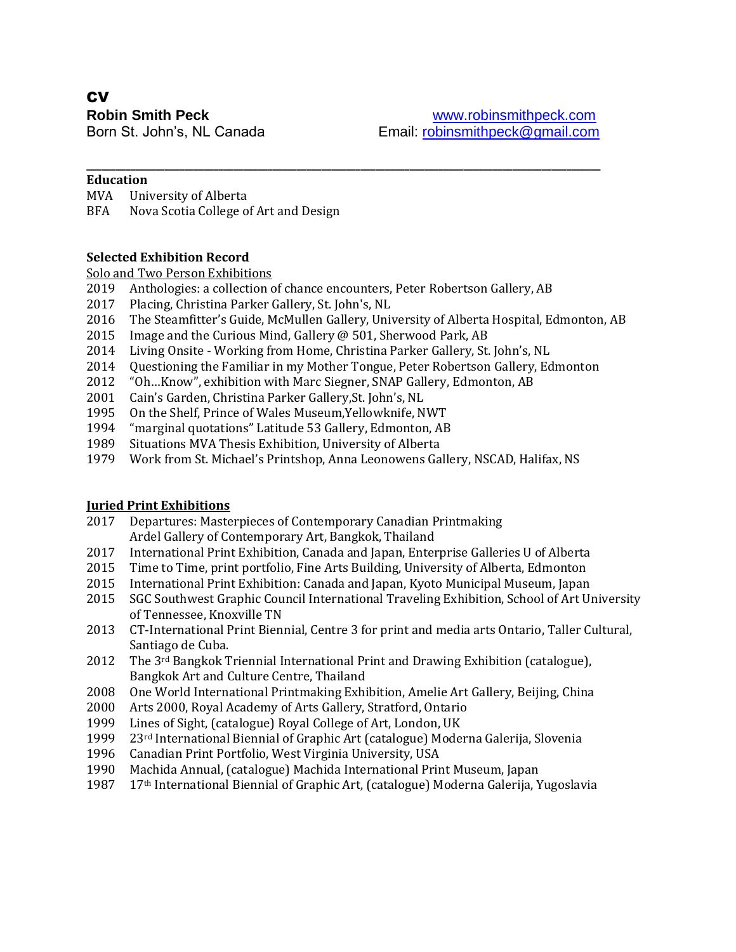# **CV**

#### **Education**

- MVA University of Alberta
- BFA Nova Scotia College of Art and Design

#### **Selected Exhibition Record**

#### Solo and Two Person Exhibitions

- Anthologies: a collection of chance encounters, Peter Robertson Gallery, AB
- Placing, Christina Parker Gallery, St. John's, NL
- The Steamfitter's Guide, McMullen Gallery, University of Alberta Hospital, Edmonton, AB
- Image and the Curious Mind, Gallery @ 501, Sherwood Park, AB
- Living Onsite Working from Home, Christina Parker Gallery, St. John's, NL
- Questioning the Familiar in my Mother Tongue, Peter Robertson Gallery, Edmonton

**\_\_\_\_\_\_\_\_\_\_\_\_\_\_\_\_\_\_\_\_\_\_\_\_\_\_\_\_\_\_\_\_\_\_\_\_\_\_\_\_\_\_\_\_\_\_\_\_\_\_\_\_\_\_\_\_\_\_\_\_\_\_\_\_\_\_\_\_\_\_\_\_\_\_\_\_\_\_\_\_\_\_\_\_\_\_\_\_\_\_\_\_\_\_\_\_\_\_\_\_\_\_\_\_\_**

- "Oh…Know", exhibition with Marc Siegner, SNAP Gallery, Edmonton, AB
- Cain's Garden, Christina Parker Gallery,St. John's, NL
- On the Shelf, Prince of Wales Museum,Yellowknife, NWT
- "marginal quotations" Latitude 53 Gallery, Edmonton, AB
- Situations MVA Thesis Exhibition, University of Alberta
- Work from St. Michael's Printshop, Anna Leonowens Gallery, NSCAD, Halifax, NS

#### **Juried Print Exhibitions**

- Departures: Masterpieces of Contemporary Canadian Printmaking Ardel Gallery of Contemporary Art, Bangkok, Thailand
- International Print Exhibition, Canada and Japan, Enterprise Galleries U of Alberta
- Time to Time, print portfolio, Fine Arts Building, University of Alberta, Edmonton
- International Print Exhibition: Canada and Japan, Kyoto Municipal Museum, Japan
- SGC Southwest Graphic Council International Traveling Exhibition, School of Art University of Tennessee, Knoxville TN
- CT-International Print Biennial, Centre 3 for print and media arts Ontario, Taller Cultural, Santiago de Cuba.
- 2012 The 3<sup>rd</sup> Bangkok Triennial International Print and Drawing Exhibition (catalogue), Bangkok Art and Culture Centre, Thailand
- One World International Printmaking Exhibition, Amelie Art Gallery, Beijing, China
- Arts 2000, Royal Academy of Arts Gallery, Stratford, Ontario
- Lines of Sight, (catalogue) Royal College of Art, London, UK
- 23rd International Biennial of Graphic Art (catalogue) Moderna Galerija, Slovenia
- Canadian Print Portfolio, West Virginia University, USA
- Machida Annual, (catalogue) Machida International Print Museum, Japan
- 17th International Biennial of Graphic Art, (catalogue) Moderna Galerija, Yugoslavia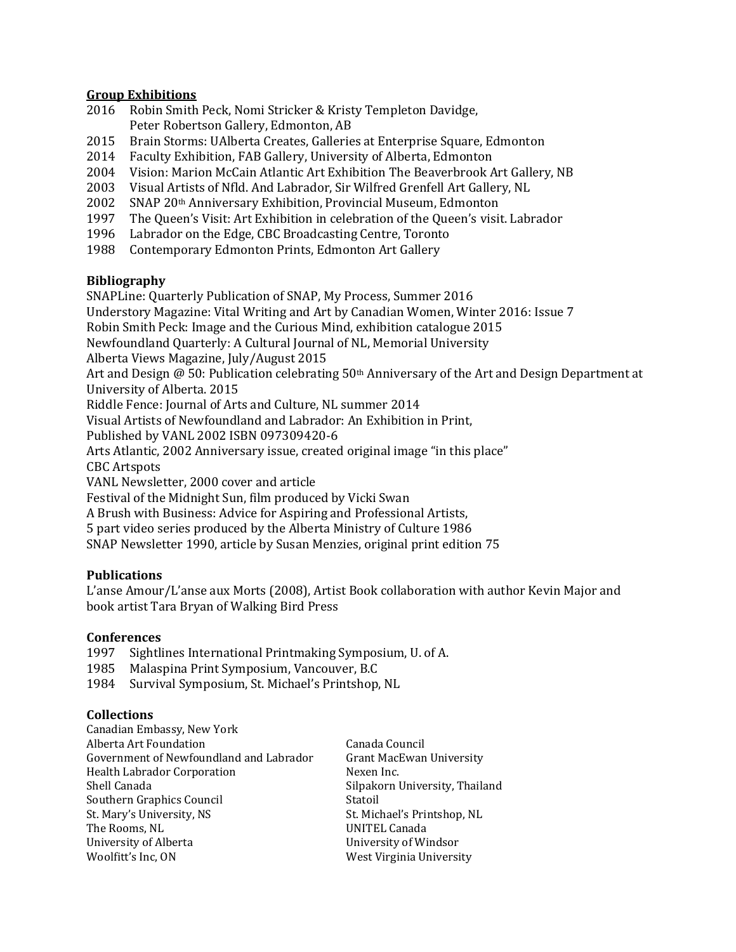#### **Group Exhibitions**

- 2016 Robin Smith Peck, Nomi Stricker & Kristy Templeton Davidge, Peter Robertson Gallery, Edmonton, AB
- 2015 Brain Storms: UAlberta Creates, Galleries at Enterprise Square, Edmonton
- 2014 Faculty Exhibition, FAB Gallery, University of Alberta, Edmonton
- 2004 Vision: Marion McCain Atlantic Art Exhibition The Beaverbrook Art Gallery, NB
- 2003 Visual Artists of Nfld. And Labrador, Sir Wilfred Grenfell Art Gallery, NL
- 2002 SNAP 20th Anniversary Exhibition, Provincial Museum, Edmonton
- 1997 The Queen's Visit: Art Exhibition in celebration of the Queen's visit. Labrador
- 1996 Labrador on the Edge, CBC Broadcasting Centre, Toronto
- 1988 Contemporary Edmonton Prints, Edmonton Art Gallery

#### **Bibliography**

SNAPLine: Quarterly Publication of SNAP, My Process, Summer 2016

Understory Magazine: Vital Writing and Art by Canadian Women, Winter 2016: Issue 7

Robin Smith Peck: Image and the Curious Mind, exhibition catalogue 2015

Newfoundland Quarterly: A Cultural Journal of NL, Memorial University

Alberta Views Magazine, July/August 2015

Art and Design  $\omega$  50: Publication celebrating 50<sup>th</sup> Anniversary of the Art and Design Department at University of Alberta. 2015

Riddle Fence: Journal of Arts and Culture, NL summer 2014

Visual Artists of Newfoundland and Labrador: An Exhibition in Print,

Published by VANL 2002 ISBN 097309420-6

Arts Atlantic, 2002 Anniversary issue, created original image "in this place"

CBC Artspots

VANL Newsletter, 2000 cover and article

Festival of the Midnight Sun, film produced by Vicki Swan

A Brush with Business: Advice for Aspiring and Professional Artists,

5 part video series produced by the Alberta Ministry of Culture 1986

SNAP Newsletter 1990, article by Susan Menzies, original print edition 75

### **Publications**

L'anse Amour/L'anse aux Morts (2008), Artist Book collaboration with author Kevin Major and book artist Tara Bryan of Walking Bird Press

#### **Conferences**

1997 Sightlines International Printmaking Symposium, U. of A.

1985 Malaspina Print Symposium, Vancouver, B.C

1984 Survival Symposium, St. Michael's Printshop, NL

### **Collections**

| Canadian Embassy, New York              |                                 |
|-----------------------------------------|---------------------------------|
| Alberta Art Foundation                  | Canada Council                  |
| Government of Newfoundland and Labrador | <b>Grant MacEwan University</b> |
| Health Labrador Corporation             | Nexen Inc.                      |
| Shell Canada                            | Silpakorn University, Thailand  |
| Southern Graphics Council               | Statoil                         |
| St. Mary's University, NS               | St. Michael's Printshop, NL     |
| The Rooms, NL                           | UNITEL Canada                   |
| University of Alberta                   | University of Windsor           |
| Woolfitt's Inc, ON                      | West Virginia University        |
|                                         |                                 |